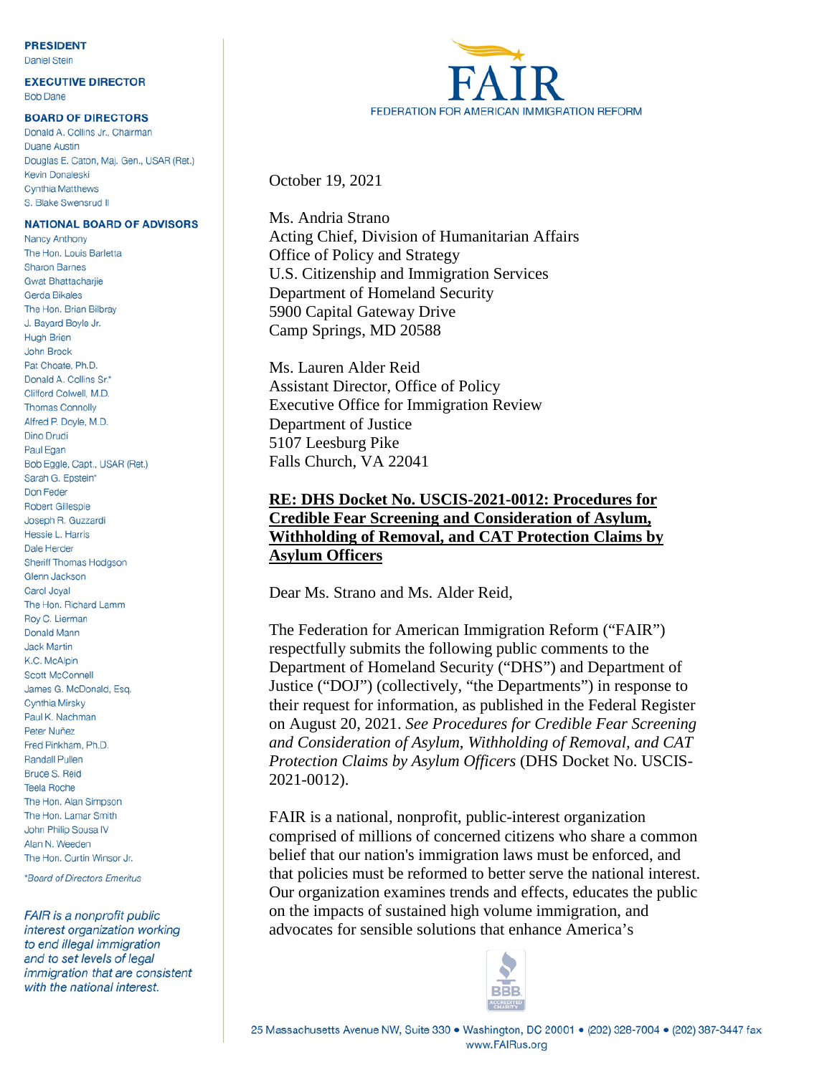#### **PRESIDENT**

**Daniel Stein** 

**EXECUTIVE DIRECTOR Bob Dane** 

#### **BOARD OF DIRECTORS**

Donald A. Collins Jr., Chairman **Duane Austin** Douglas E. Caton, Maj. Gen., USAR (Ret.) **Kevin Donaleski Cynthia Matthews** S. Blake Swensrud II

#### **NATIONAL BOARD OF ADVISORS**

Nancy Anthony The Hon, Louis Barletta Sharon Barnes **Gwat Bhattacharije** Gerda Bikales The Hon. Brian Bilbray J. Bayard Boyle Jr. **Hugh Brien** John Brock Pat Choate, Ph.D. Donald A. Collins Sr.\* Clifford Colwell, M.D. **Thomas Connolly** Alfred P. Doyle, M.D. Dino Drudi Paul Egan Bob Eggle, Capt., USAR (Ret.) Sarah G. Epstein\* Don Feder Robert Gillespie Joseph R. Guzzardi Hessie L. Harris Dale Herder Sheriff Thomas Hodgson Glenn Jackson Carol Joyal The Hon. Richard Lamm Roy C. Lierman Donald Mann **Jack Martin** K.C. McAlpin **Scott McConnell** James G. McDonald, Esq. Cynthia Mirsky Paul K. Nachman Peter Nuñez Fred Pinkham, Ph.D. **Randall Pullen** Bruce S. Reid **Teela Roche** The Hon. Alan Simpson The Hon. Lamar Smith John Philip Sousa IV Alan N. Weeden The Hon, Curtin Winsor Jr.

\*Board of Directors Emeritus

FAIR is a nonprofit public interest organization working to end illegal immigration and to set levels of legal immigration that are consistent with the national interest.



October 19, 2021

Ms. Andria Strano Acting Chief, Division of Humanitarian Affairs Office of Policy and Strategy U.S. Citizenship and Immigration Services Department of Homeland Security 5900 Capital Gateway Drive Camp Springs, MD 20588

Ms. Lauren Alder Reid Assistant Director, Office of Policy Executive Office for Immigration Review Department of Justice 5107 Leesburg Pike Falls Church, VA 22041

#### **RE: DHS Docket No. USCIS-2021-0012: Procedures for Credible Fear Screening and Consideration of Asylum, Withholding of Removal, and CAT Protection Claims by Asylum Officers**

Dear Ms. Strano and Ms. Alder Reid,

The Federation for American Immigration Reform ("FAIR") respectfully submits the following public comments to the Department of Homeland Security ("DHS") and Department of Justice ("DOJ") (collectively, "the Departments") in response to their request for information, as published in the Federal Register on August 20, 2021. *See Procedures for Credible Fear Screening and Consideration of Asylum, Withholding of Removal, and CAT Protection Claims by Asylum Officers* (DHS Docket No. USCIS-2021-0012).

FAIR is a national, nonprofit, public-interest organization comprised of millions of concerned citizens who share a common belief that our nation's immigration laws must be enforced, and that policies must be reformed to better serve the national interest. Our organization examines trends and effects, educates the public on the impacts of sustained high volume immigration, and advocates for sensible solutions that enhance America's

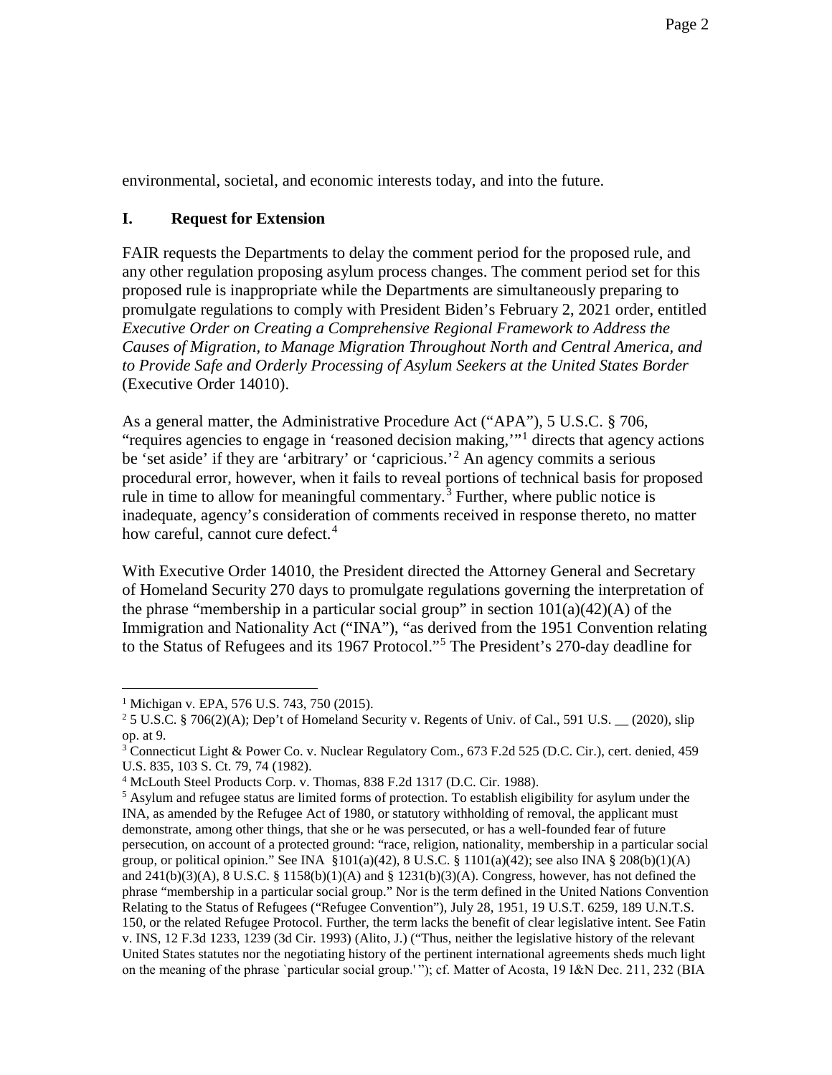environmental, societal, and economic interests today, and into the future.

#### **I. Request for Extension**

FAIR requests the Departments to delay the comment period for the proposed rule, and any other regulation proposing asylum process changes. The comment period set for this proposed rule is inappropriate while the Departments are simultaneously preparing to promulgate regulations to comply with President Biden's February 2, 2021 order, entitled *Executive Order on Creating a Comprehensive Regional Framework to Address the Causes of Migration, to Manage Migration Throughout North and Central America, and to Provide Safe and Orderly Processing of Asylum Seekers at the United States Border* (Executive Order 14010).

As a general matter, the Administrative Procedure Act ("APA"), 5 U.S.C. § 706, "requires agencies to engage in 'reasoned decision making,'"[1](#page-1-0) directs that agency actions be 'set aside' if they are 'arbitrary' or 'capricious.'<sup>[2](#page-1-1)</sup> An agency commits a serious procedural error, however, when it fails to reveal portions of technical basis for proposed rule in time to allow for meaningful commentary.<sup>[3](#page-1-2)</sup> Further, where public notice is inadequate, agency's consideration of comments received in response thereto, no matter how careful, cannot cure defect.<sup>[4](#page-1-3)</sup>

With Executive Order 14010, the President directed the Attorney General and Secretary of Homeland Security 270 days to promulgate regulations governing the interpretation of the phrase "membership in a particular social group" in section  $101(a)(42)(A)$  of the Immigration and Nationality Act ("INA"), "as derived from the 1951 Convention relating to the Status of Refugees and its 1967 Protocol."[5](#page-1-4) The President's 270-day deadline for

<sup>&</sup>lt;sup>1</sup> Michigan v. EPA, 576 U.S. 743, 750 (2015).

<span id="page-1-1"></span><span id="page-1-0"></span><sup>&</sup>lt;sup>2</sup> 5 U.S.C. § 706(2)(A); Dep't of Homeland Security v. Regents of Univ. of Cal., 591 U.S.  $\_\_$  (2020), slip op. at 9.

<span id="page-1-2"></span><sup>3</sup> Connecticut Light & Power Co. v. Nuclear Regulatory Com., 673 F.2d 525 (D.C. Cir.), cert. denied, 459 U.S. 835, 103 S. Ct. 79, 74 (1982).

<span id="page-1-3"></span><sup>4</sup> McLouth Steel Products Corp. v. Thomas, 838 F.2d 1317 (D.C. Cir. 1988).

<span id="page-1-4"></span> $<sup>5</sup>$  Asylum and refugee status are limited forms of protection. To establish eligibility for asylum under the</sup> INA, as amended by the Refugee Act of 1980, or statutory withholding of removal, the applicant must demonstrate, among other things, that she or he was persecuted, or has a well-founded fear of future persecution, on account of a protected ground: "race, religion, nationality, membership in a particular social group, or political opinion." See INA §101(a)(42), 8 U.S.C. § 1101(a)(42); see also INA § 208(b)(1)(A) and  $241(b)(3)(A)$ , 8 U.S.C. § 1158(b)(1)(A) and § 1231(b)(3)(A). Congress, however, has not defined the phrase "membership in a particular social group." Nor is the term defined in the United Nations Convention Relating to the Status of Refugees ("Refugee Convention"), July 28, 1951, 19 U.S.T. 6259, 189 U.N.T.S. 150, or the related Refugee Protocol. Further, the term lacks the benefit of clear legislative intent. See Fatin v. INS, 12 F.3d 1233, 1239 (3d Cir. 1993) (Alito, J.) ("Thus, neither the legislative history of the relevant United States statutes nor the negotiating history of the pertinent international agreements sheds much light on the meaning of the phrase `particular social group.' "); cf. Matter of Acosta, 19 I&N Dec. 211, 232 (BIA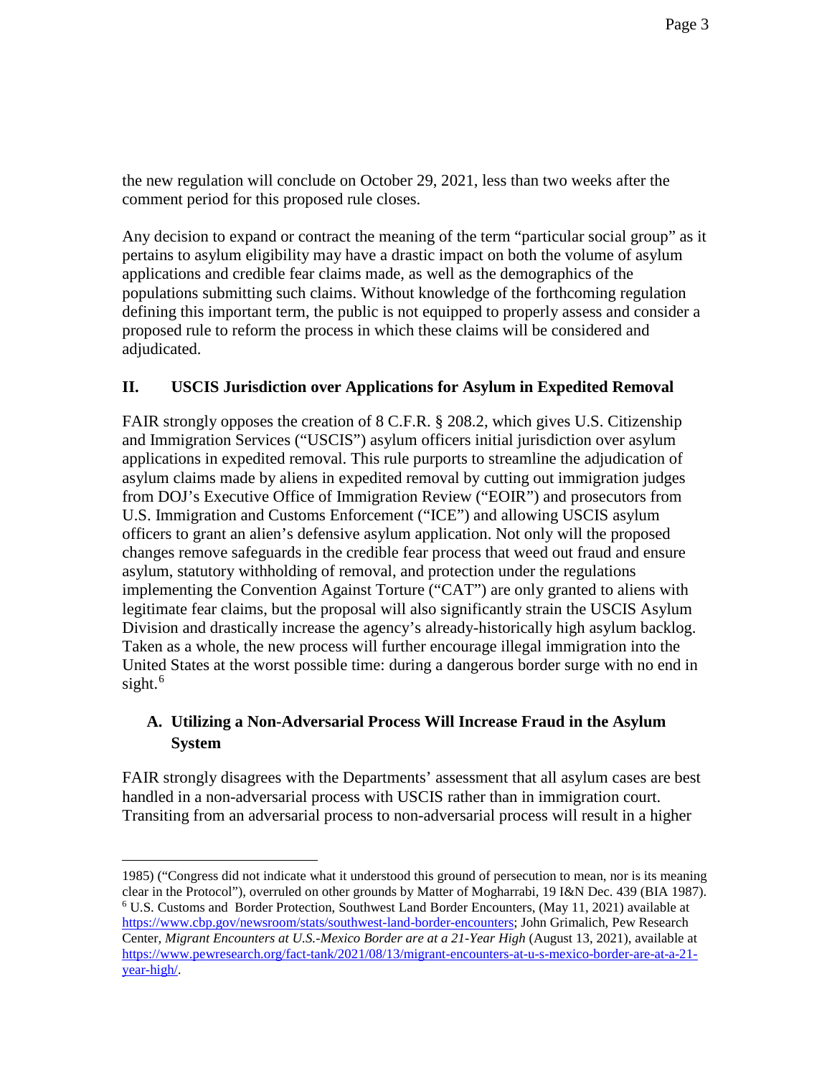the new regulation will conclude on October 29, 2021, less than two weeks after the comment period for this proposed rule closes.

Any decision to expand or contract the meaning of the term "particular social group" as it pertains to asylum eligibility may have a drastic impact on both the volume of asylum applications and credible fear claims made, as well as the demographics of the populations submitting such claims. Without knowledge of the forthcoming regulation defining this important term, the public is not equipped to properly assess and consider a proposed rule to reform the process in which these claims will be considered and adjudicated.

#### **II. USCIS Jurisdiction over Applications for Asylum in Expedited Removal**

FAIR strongly opposes the creation of 8 C.F.R. § 208.2, which gives U.S. Citizenship and Immigration Services ("USCIS") asylum officers initial jurisdiction over asylum applications in expedited removal. This rule purports to streamline the adjudication of asylum claims made by aliens in expedited removal by cutting out immigration judges from DOJ's Executive Office of Immigration Review ("EOIR") and prosecutors from U.S. Immigration and Customs Enforcement ("ICE") and allowing USCIS asylum officers to grant an alien's defensive asylum application. Not only will the proposed changes remove safeguards in the credible fear process that weed out fraud and ensure asylum, statutory withholding of removal, and protection under the regulations implementing the Convention Against Torture ("CAT") are only granted to aliens with legitimate fear claims, but the proposal will also significantly strain the USCIS Asylum Division and drastically increase the agency's already-historically high asylum backlog. Taken as a whole, the new process will further encourage illegal immigration into the United States at the worst possible time: during a dangerous border surge with no end in sight. [6](#page-2-0)

## **A. Utilizing a Non-Adversarial Process Will Increase Fraud in the Asylum System**

FAIR strongly disagrees with the Departments' assessment that all asylum cases are best handled in a non-adversarial process with USCIS rather than in immigration court. Transiting from an adversarial process to non-adversarial process will result in a higher

<span id="page-2-0"></span> $\overline{a}$ 1985) ("Congress did not indicate what it understood this ground of persecution to mean, nor is its meaning clear in the Protocol"), overruled on other grounds by Matter of Mogharrabi, 19 I&N Dec. 439 (BIA 1987). <sup>6</sup> U.S. Customs and Border Protection, Southwest Land Border Encounters, (May 11, 2021) available at [https://www.cbp.gov/newsroom/stats/southwest-land-border-encounters;](https://www.cbp.gov/newsroom/stats/southwest-land-border-encounters) John Grimalich, Pew Research Center*, Migrant Encounters at U.S.-Mexico Border are at a 21-Year High* (August 13, 2021), available at [https://www.pewresearch.org/fact-tank/2021/08/13/migrant-encounters-at-u-s-mexico-border-are-at-a-21](https://www.pewresearch.org/fact-tank/2021/08/13/migrant-encounters-at-u-s-mexico-border-are-at-a-21-year-high/) [year-high/.](https://www.pewresearch.org/fact-tank/2021/08/13/migrant-encounters-at-u-s-mexico-border-are-at-a-21-year-high/)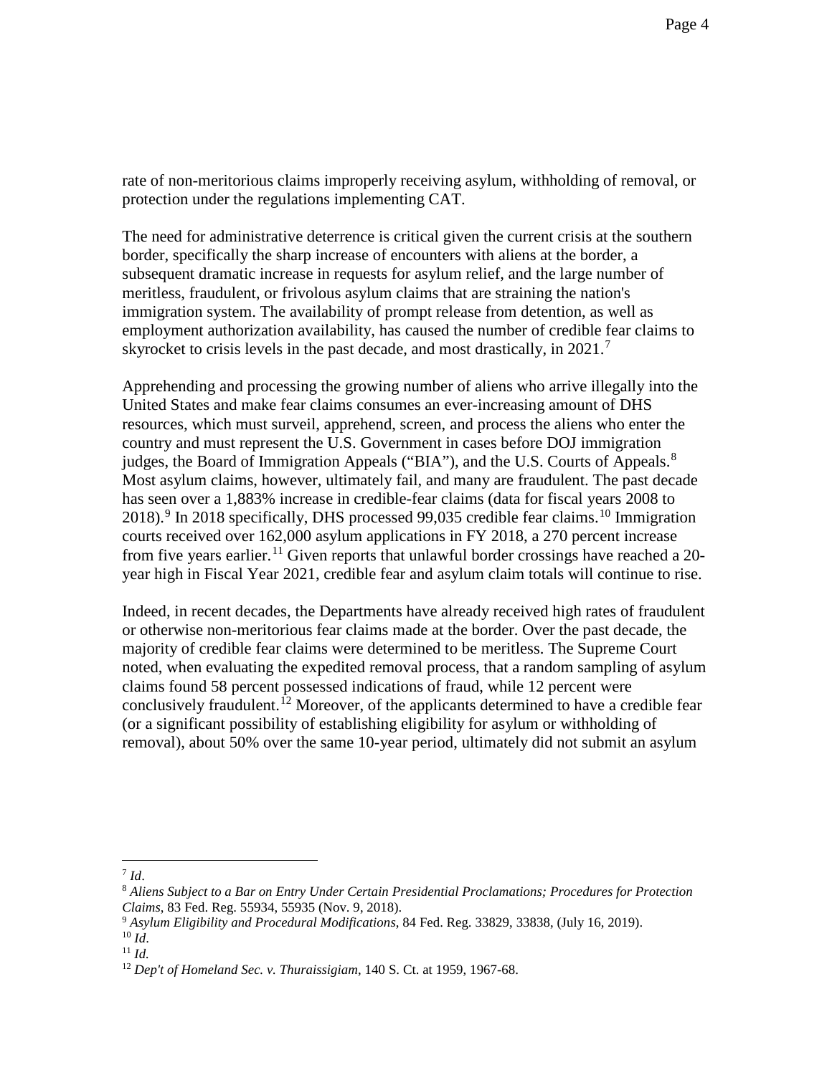rate of non-meritorious claims improperly receiving asylum, withholding of removal, or protection under the regulations implementing CAT.

The need for administrative deterrence is critical given the current crisis at the southern border, specifically the sharp increase of encounters with aliens at the border, a subsequent dramatic increase in requests for asylum relief, and the large number of meritless, fraudulent, or frivolous asylum claims that are straining the nation's immigration system. The availability of prompt release from detention, as well as employment authorization availability, has caused the number of credible fear claims to skyrocket to crisis levels in the past decade, and most drastically, in  $2021$ .<sup>[7](#page-3-0)</sup>

Apprehending and processing the growing number of aliens who arrive illegally into the United States and make fear claims consumes an ever-increasing amount of DHS resources, which must surveil, apprehend, screen, and process the aliens who enter the country and must represent the U.S. Government in cases before DOJ immigration judges, the Board of Immigration Appeals ("BIA"), and the U.S. Courts of Appeals.<sup>[8](#page-3-1)</sup> Most asylum claims, however, ultimately fail, and many are fraudulent. The past decade has seen over a 1,883% increase in credible-fear claims (data for fiscal years 2008 to 2018).<sup>[9](#page-3-2)</sup> In 2018 specifically, DHS processed 99,035 credible fear claims.<sup>[10](#page-3-3)</sup> Immigration courts received over 162,000 asylum applications in FY 2018, a 270 percent increase from five years earlier.<sup>[11](#page-3-4)</sup> Given reports that unlawful border crossings have reached a 20year high in Fiscal Year 2021, credible fear and asylum claim totals will continue to rise.

Indeed, in recent decades, the Departments have already received high rates of fraudulent or otherwise non-meritorious fear claims made at the border. Over the past decade, the majority of credible fear claims were determined to be meritless. The Supreme Court noted, when evaluating the expedited removal process, that a random sampling of asylum claims found 58 percent possessed indications of fraud, while 12 percent were conclusively fraudulent.<sup>[12](#page-3-5)</sup> Moreover, of the applicants determined to have a credible fear (or a significant possibility of establishing eligibility for asylum or withholding of removal), about 50% over the same 10-year period, ultimately did not submit an asylum

<span id="page-3-0"></span> $^7$  *Id.* 

<span id="page-3-1"></span><sup>8</sup> *Aliens Subject to a Bar on Entry Under Certain Presidential Proclamations; Procedures for Protection Claims*, 83 Fed. Reg. 55934, 55935 (Nov. 9, 2018).

<span id="page-3-2"></span><sup>9</sup> *Asylum Eligibility and Procedural Modifications*, 84 Fed. Reg. 33829, 33838, (July 16, 2019). <sup>10</sup> *Id*.

<span id="page-3-4"></span><span id="page-3-3"></span><sup>11</sup> *Id.*

<span id="page-3-5"></span><sup>12</sup> *Dep't of Homeland Sec. v. Thuraissigiam*, 140 S. Ct. at 1959, 1967-68.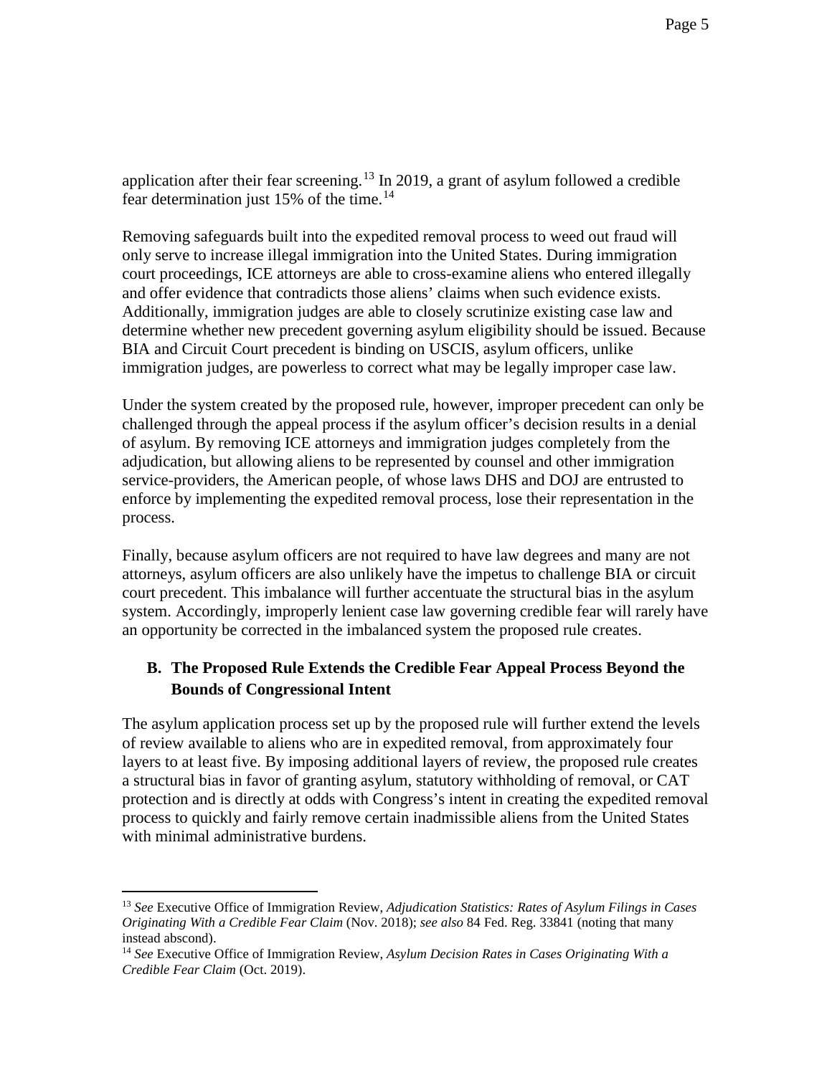application after their fear screening.<sup>[13](#page-4-0)</sup> In 2019, a grant of asylum followed a credible fear determination just 15% of the time.<sup>[14](#page-4-1)</sup>

Removing safeguards built into the expedited removal process to weed out fraud will only serve to increase illegal immigration into the United States. During immigration court proceedings, ICE attorneys are able to cross-examine aliens who entered illegally and offer evidence that contradicts those aliens' claims when such evidence exists. Additionally, immigration judges are able to closely scrutinize existing case law and determine whether new precedent governing asylum eligibility should be issued. Because BIA and Circuit Court precedent is binding on USCIS, asylum officers, unlike immigration judges, are powerless to correct what may be legally improper case law.

Under the system created by the proposed rule, however, improper precedent can only be challenged through the appeal process if the asylum officer's decision results in a denial of asylum. By removing ICE attorneys and immigration judges completely from the adjudication, but allowing aliens to be represented by counsel and other immigration service-providers, the American people, of whose laws DHS and DOJ are entrusted to enforce by implementing the expedited removal process, lose their representation in the process.

Finally, because asylum officers are not required to have law degrees and many are not attorneys, asylum officers are also unlikely have the impetus to challenge BIA or circuit court precedent. This imbalance will further accentuate the structural bias in the asylum system. Accordingly, improperly lenient case law governing credible fear will rarely have an opportunity be corrected in the imbalanced system the proposed rule creates.

## **B. The Proposed Rule Extends the Credible Fear Appeal Process Beyond the Bounds of Congressional Intent**

The asylum application process set up by the proposed rule will further extend the levels of review available to aliens who are in expedited removal, from approximately four layers to at least five. By imposing additional layers of review, the proposed rule creates a structural bias in favor of granting asylum, statutory withholding of removal, or CAT protection and is directly at odds with Congress's intent in creating the expedited removal process to quickly and fairly remove certain inadmissible aliens from the United States with minimal administrative burdens.

<span id="page-4-0"></span> <sup>13</sup> *See* Executive Office of Immigration Review, *Adjudication Statistics: Rates of Asylum Filings in Cases Originating With a Credible Fear Claim* (Nov. 2018); *see also* 84 Fed. Reg. 33841 (noting that many instead abscond).

<span id="page-4-1"></span><sup>14</sup> *See* Executive Office of Immigration Review, *Asylum Decision Rates in Cases Originating With a Credible Fear Claim* (Oct. 2019).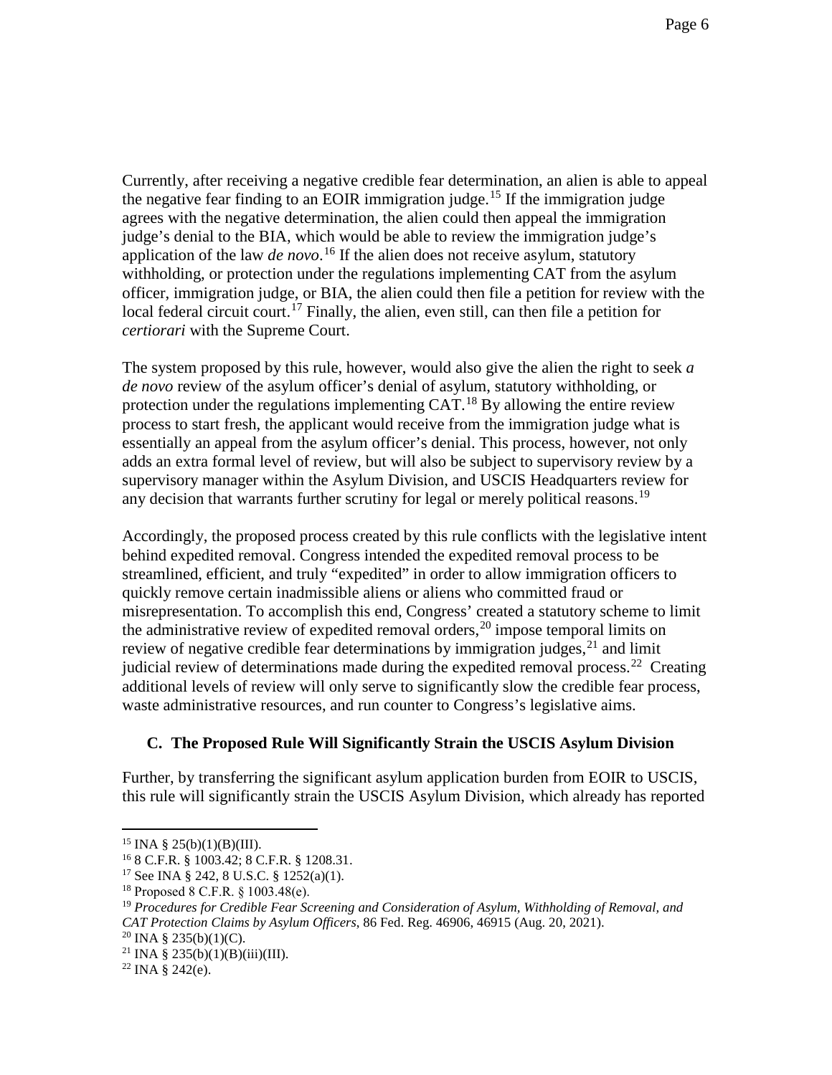Currently, after receiving a negative credible fear determination, an alien is able to appeal the negative fear finding to an EOIR immigration judge.<sup>[15](#page-5-0)</sup> If the immigration judge agrees with the negative determination, the alien could then appeal the immigration judge's denial to the BIA, which would be able to review the immigration judge's application of the law *de novo*. [16](#page-5-1) If the alien does not receive asylum, statutory withholding, or protection under the regulations implementing CAT from the asylum officer, immigration judge, or BIA, the alien could then file a petition for review with the local federal circuit court.<sup>[17](#page-5-2)</sup> Finally, the alien, even still, can then file a petition for *certiorari* with the Supreme Court.

The system proposed by this rule, however, would also give the alien the right to seek *a de novo* review of the asylum officer's denial of asylum, statutory withholding, or protection under the regulations implementing  $CAT<sup>18</sup>$  $CAT<sup>18</sup>$  $CAT<sup>18</sup>$  By allowing the entire review process to start fresh, the applicant would receive from the immigration judge what is essentially an appeal from the asylum officer's denial. This process, however, not only adds an extra formal level of review, but will also be subject to supervisory review by a supervisory manager within the Asylum Division, and USCIS Headquarters review for any decision that warrants further scrutiny for legal or merely political reasons.<sup>[19](#page-5-4)</sup>

Accordingly, the proposed process created by this rule conflicts with the legislative intent behind expedited removal. Congress intended the expedited removal process to be streamlined, efficient, and truly "expedited" in order to allow immigration officers to quickly remove certain inadmissible aliens or aliens who committed fraud or misrepresentation. To accomplish this end, Congress' created a statutory scheme to limit the administrative review of expedited removal orders,  $^{20}$  $^{20}$  $^{20}$  impose temporal limits on review of negative credible fear determinations by immigration judges,  $21$  and limit judicial review of determinations made during the expedited removal process.<sup>22</sup> Creating additional levels of review will only serve to significantly slow the credible fear process, waste administrative resources, and run counter to Congress's legislative aims.

#### **C. The Proposed Rule Will Significantly Strain the USCIS Asylum Division**

Further, by transferring the significant asylum application burden from EOIR to USCIS, this rule will significantly strain the USCIS Asylum Division, which already has reported

<span id="page-5-1"></span><span id="page-5-0"></span><sup>&</sup>lt;sup>15</sup> INA § 25(b)(1)(B)(III).<br><sup>16</sup> 8 C.F.R. § 1003.42; 8 C.F.R. § 1208.31.

<sup>17</sup> See INA § 242, 8 U.S.C. § 1252(a)(1).

<span id="page-5-3"></span><span id="page-5-2"></span><sup>18</sup> Proposed 8 C.F.R. § 1003.48(e).

<span id="page-5-4"></span><sup>19</sup> *Procedures for Credible Fear Screening and Consideration of Asylum, Withholding of Removal, and CAT Protection Claims by Asylum Officers*, 86 Fed. Reg. 46906, 46915 (Aug. 20, 2021).  $20$  INA § 235(b)(1)(C).

<span id="page-5-6"></span><span id="page-5-5"></span><sup>&</sup>lt;sup>21</sup> INA § 235(b)(1)(B)(iii)(III).

<span id="page-5-7"></span> $22$  INA § 242(e).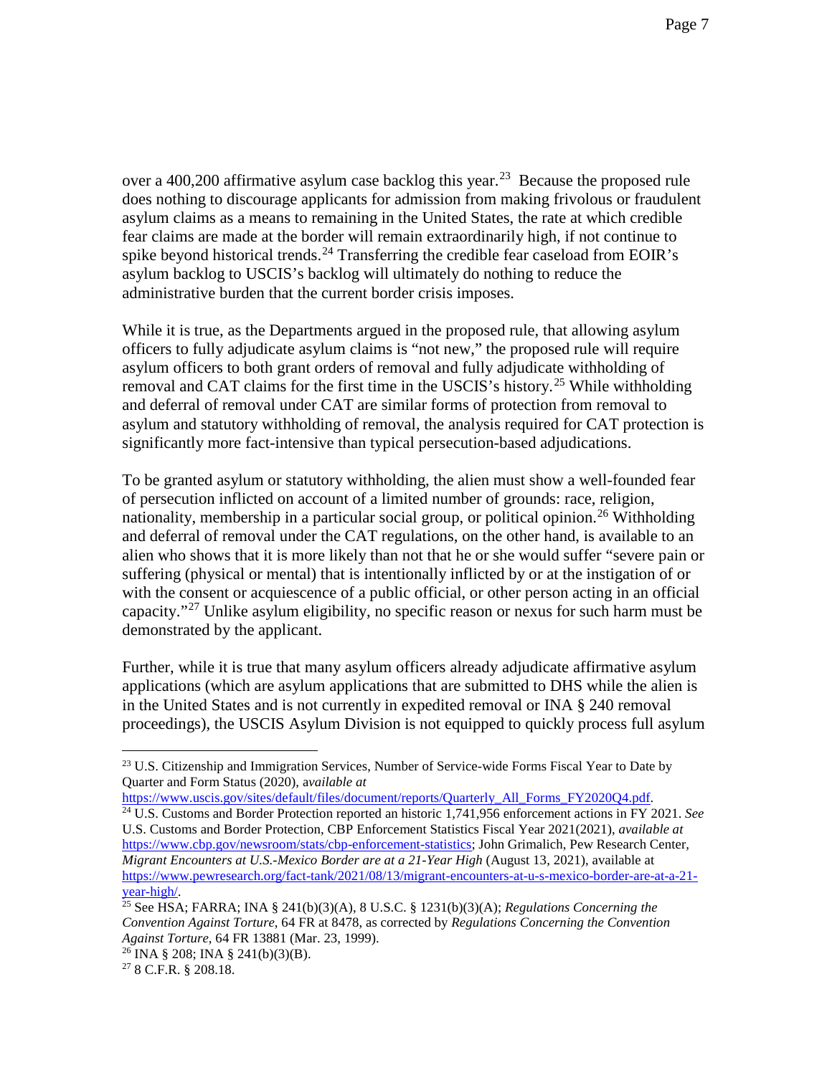over a 400,200 affirmative asylum case backlog this year.<sup>23</sup> Because the proposed rule does nothing to discourage applicants for admission from making frivolous or fraudulent asylum claims as a means to remaining in the United States, the rate at which credible fear claims are made at the border will remain extraordinarily high, if not continue to spike beyond historical trends.<sup>[24](#page-6-1)</sup> Transferring the credible fear caseload from EOIR's asylum backlog to USCIS's backlog will ultimately do nothing to reduce the administrative burden that the current border crisis imposes.

While it is true, as the Departments argued in the proposed rule, that allowing asylum officers to fully adjudicate asylum claims is "not new," the proposed rule will require asylum officers to both grant orders of removal and fully adjudicate withholding of removal and CAT claims for the first time in the USCIS's history.<sup>[25](#page-6-2)</sup> While withholding and deferral of removal under CAT are similar forms of protection from removal to asylum and statutory withholding of removal, the analysis required for CAT protection is significantly more fact-intensive than typical persecution-based adjudications.

To be granted asylum or statutory withholding, the alien must show a well-founded fear of persecution inflicted on account of a limited number of grounds: race, religion, nationality, membership in a particular social group, or political opinion.<sup>[26](#page-6-3)</sup> Withholding and deferral of removal under the CAT regulations, on the other hand, is available to an alien who shows that it is more likely than not that he or she would suffer "severe pain or suffering (physical or mental) that is intentionally inflicted by or at the instigation of or with the consent or acquiescence of a public official, or other person acting in an official capacity."[27](#page-6-4) Unlike asylum eligibility, no specific reason or nexus for such harm must be demonstrated by the applicant.

Further, while it is true that many asylum officers already adjudicate affirmative asylum applications (which are asylum applications that are submitted to DHS while the alien is in the United States and is not currently in expedited removal or INA § 240 removal proceedings), the USCIS Asylum Division is not equipped to quickly process full asylum

[https://www.uscis.gov/sites/default/files/document/reports/Quarterly\\_All\\_Forms\\_FY2020Q4.pdf.](https://www.uscis.gov/sites/default/files/document/reports/Quarterly_All_Forms_FY2020Q4.pdf)

<span id="page-6-0"></span><sup>&</sup>lt;sup>23</sup> U.S. Citizenship and Immigration Services, Number of Service-wide Forms Fiscal Year to Date by Quarter and Form Status (2020), a*vailable at* 

<span id="page-6-1"></span><sup>24</sup> U.S. Customs and Border Protection reported an historic 1,741,956 enforcement actions in FY 2021. *See* U.S. Customs and Border Protection, CBP Enforcement Statistics Fiscal Year 2021(2021), *available at*  [https://www.cbp.gov/newsroom/stats/cbp-enforcement-statistics;](https://www.cbp.gov/newsroom/stats/cbp-enforcement-statistics) John Grimalich, Pew Research Center*, Migrant Encounters at U.S.-Mexico Border are at a 21-Year High* (August 13, 2021), available at [https://www.pewresearch.org/fact-tank/2021/08/13/migrant-encounters-at-u-s-mexico-border-are-at-a-21-](https://www.pewresearch.org/fact-tank/2021/08/13/migrant-encounters-at-u-s-mexico-border-are-at-a-21-year-high/)

<span id="page-6-2"></span>[year-high/.](https://www.pewresearch.org/fact-tank/2021/08/13/migrant-encounters-at-u-s-mexico-border-are-at-a-21-year-high/) 25 See HSA; FARRA; INA § 241(b)(3)(A), 8 U.S.C. § 1231(b)(3)(A); *Regulations Concerning the Convention Against Torture*, 64 FR at 8478, as corrected by *Regulations Concerning the Convention Against Torture*, 64 FR 13881 (Mar. 23, 1999).

<span id="page-6-3"></span> $^{26}$  INA § 208; INA § 241(b)(3)(B).

<span id="page-6-4"></span> $278$  C.F.R. § 208.18.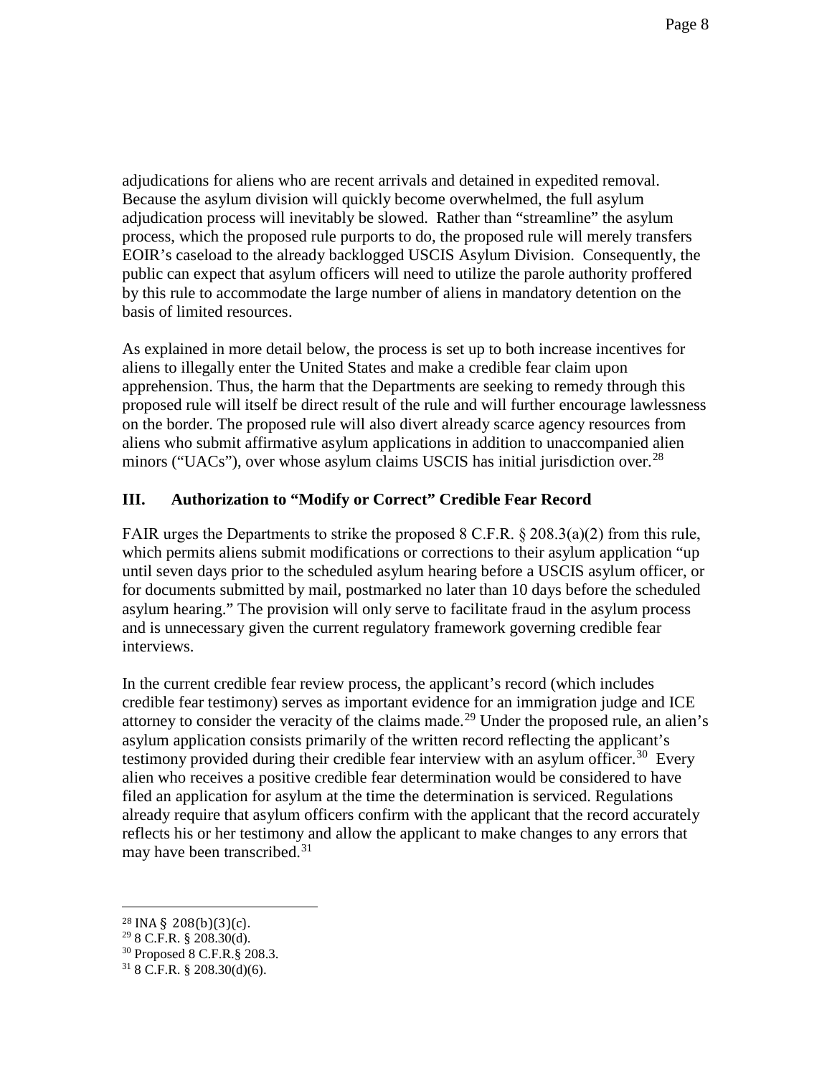adjudications for aliens who are recent arrivals and detained in expedited removal. Because the asylum division will quickly become overwhelmed, the full asylum adjudication process will inevitably be slowed. Rather than "streamline" the asylum process, which the proposed rule purports to do, the proposed rule will merely transfers EOIR's caseload to the already backlogged USCIS Asylum Division. Consequently, the public can expect that asylum officers will need to utilize the parole authority proffered by this rule to accommodate the large number of aliens in mandatory detention on the basis of limited resources.

As explained in more detail below, the process is set up to both increase incentives for aliens to illegally enter the United States and make a credible fear claim upon apprehension. Thus, the harm that the Departments are seeking to remedy through this proposed rule will itself be direct result of the rule and will further encourage lawlessness on the border. The proposed rule will also divert already scarce agency resources from aliens who submit affirmative asylum applications in addition to unaccompanied alien minors ("UACs"), over whose asylum claims USCIS has initial jurisdiction over.<sup>28</sup>

#### **III. Authorization to "Modify or Correct" Credible Fear Record**

FAIR urges the Departments to strike the proposed 8 C.F.R.  $\S 208.3(a)(2)$  from this rule, which permits aliens submit modifications or corrections to their asylum application "up until seven days prior to the scheduled asylum hearing before a USCIS asylum officer, or for documents submitted by mail, postmarked no later than 10 days before the scheduled asylum hearing." The provision will only serve to facilitate fraud in the asylum process and is unnecessary given the current regulatory framework governing credible fear interviews.

In the current credible fear review process, the applicant's record (which includes credible fear testimony) serves as important evidence for an immigration judge and ICE attorney to consider the veracity of the claims made.<sup>[29](#page-7-1)</sup> Under the proposed rule, an alien's asylum application consists primarily of the written record reflecting the applicant's testimony provided during their credible fear interview with an asylum officer.<sup>30</sup> Every alien who receives a positive credible fear determination would be considered to have filed an application for asylum at the time the determination is serviced. Regulations already require that asylum officers confirm with the applicant that the record accurately reflects his or her testimony and allow the applicant to make changes to any errors that may have been transcribed.<sup>[31](#page-7-3)</sup>

 $\overline{a}$ 

<span id="page-7-0"></span> $28$  INA § 208(b)(3)(c).

<span id="page-7-1"></span><sup>&</sup>lt;sup>29</sup> 8 C.F.R. § 208.30(d).<br><sup>30</sup> Proposed 8 C.F.R.§ 208.3.

<span id="page-7-3"></span><span id="page-7-2"></span> $31$  8 C.F.R. § 208.30(d)(6).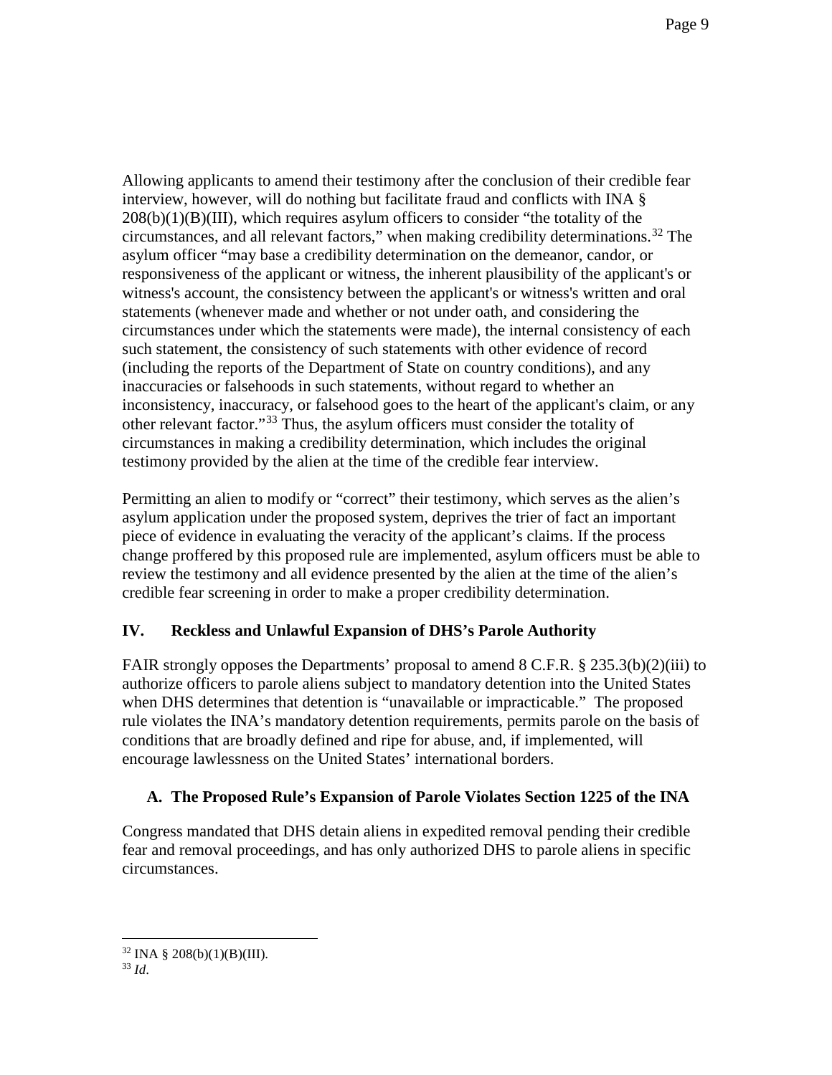Allowing applicants to amend their testimony after the conclusion of their credible fear interview, however, will do nothing but facilitate fraud and conflicts with INA §  $208(b)(1)(B)(III)$ , which requires asylum officers to consider "the totality of the circumstances, and all relevant factors," when making credibility determinations.<sup>[32](#page-8-0)</sup> The asylum officer "may base a credibility determination on the demeanor, candor, or responsiveness of the applicant or witness, the inherent plausibility of the applicant's or witness's account, the consistency between the applicant's or witness's written and oral statements (whenever made and whether or not under oath, and considering the circumstances under which the statements were made), the internal consistency of each such statement, the consistency of such statements with other evidence of record (including the reports of the Department of State on country conditions), and any inaccuracies or falsehoods in such statements, without regard to whether an inconsistency, inaccuracy, or falsehood goes to the heart of the applicant's claim, or any other relevant factor."[33](#page-8-1) Thus, the asylum officers must consider the totality of circumstances in making a credibility determination, which includes the original testimony provided by the alien at the time of the credible fear interview.

Permitting an alien to modify or "correct" their testimony, which serves as the alien's asylum application under the proposed system, deprives the trier of fact an important piece of evidence in evaluating the veracity of the applicant's claims. If the process change proffered by this proposed rule are implemented, asylum officers must be able to review the testimony and all evidence presented by the alien at the time of the alien's credible fear screening in order to make a proper credibility determination.

## **IV. Reckless and Unlawful Expansion of DHS's Parole Authority**

FAIR strongly opposes the Departments' proposal to amend 8 C.F.R. § 235.3(b)(2)(iii) to authorize officers to parole aliens subject to mandatory detention into the United States when DHS determines that detention is "unavailable or impracticable." The proposed rule violates the INA's mandatory detention requirements, permits parole on the basis of conditions that are broadly defined and ripe for abuse, and, if implemented, will encourage lawlessness on the United States' international borders.

#### **A. The Proposed Rule's Expansion of Parole Violates Section 1225 of the INA**

Congress mandated that DHS detain aliens in expedited removal pending their credible fear and removal proceedings, and has only authorized DHS to parole aliens in specific circumstances.

<span id="page-8-1"></span><span id="page-8-0"></span> $32$  INA § 208(b)(1)(B)(III).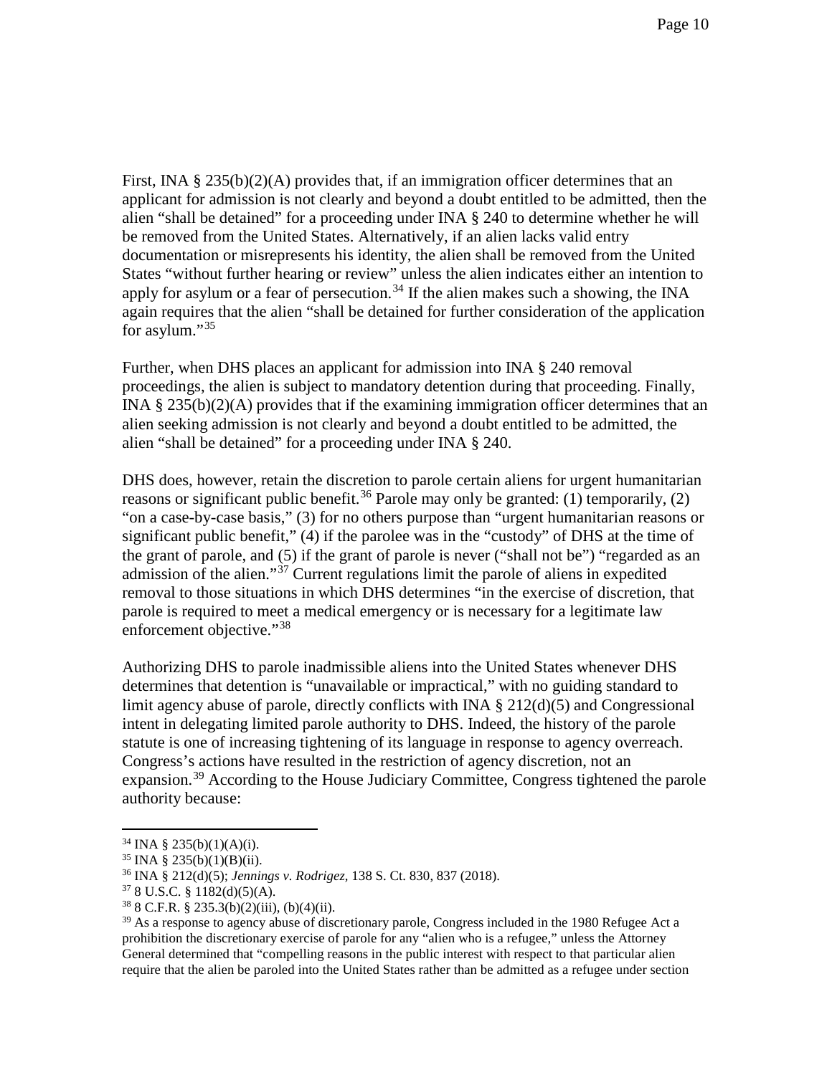First, INA  $\S 235(b)(2)(A)$  provides that, if an immigration officer determines that an applicant for admission is not clearly and beyond a doubt entitled to be admitted, then the alien "shall be detained" for a proceeding under INA § 240 to determine whether he will be removed from the United States. Alternatively, if an alien lacks valid entry documentation or misrepresents his identity, the alien shall be removed from the United States "without further hearing or review" unless the alien indicates either an intention to apply for asylum or a fear of persecution.<sup>[34](#page-9-0)</sup> If the alien makes such a showing, the INA again requires that the alien "shall be detained for further consideration of the application for asylum."<sup>[35](#page-9-1)</sup>

Further, when DHS places an applicant for admission into INA § 240 removal proceedings, the alien is subject to mandatory detention during that proceeding. Finally, INA  $\S 235(b)(2)(A)$  provides that if the examining immigration officer determines that an alien seeking admission is not clearly and beyond a doubt entitled to be admitted, the alien "shall be detained" for a proceeding under INA § 240.

DHS does, however, retain the discretion to parole certain aliens for urgent humanitarian reasons or significant public benefit.<sup>[36](#page-9-2)</sup> Parole may only be granted: (1) temporarily, (2) "on a case-by-case basis," (3) for no others purpose than "urgent humanitarian reasons or significant public benefit," (4) if the parolee was in the "custody" of DHS at the time of the grant of parole, and (5) if the grant of parole is never ("shall not be") "regarded as an admission of the alien."[37](#page-9-3) Current regulations limit the parole of aliens in expedited removal to those situations in which DHS determines "in the exercise of discretion, that parole is required to meet a medical emergency or is necessary for a legitimate law enforcement objective."<sup>[38](#page-9-4)</sup>

Authorizing DHS to parole inadmissible aliens into the United States whenever DHS determines that detention is "unavailable or impractical," with no guiding standard to limit agency abuse of parole, directly conflicts with INA § 212(d)(5) and Congressional intent in delegating limited parole authority to DHS. Indeed, the history of the parole statute is one of increasing tightening of its language in response to agency overreach. Congress's actions have resulted in the restriction of agency discretion, not an expansion.<sup>[39](#page-9-5)</sup> According to the House Judiciary Committee, Congress tightened the parole authority because:

<span id="page-9-1"></span><span id="page-9-0"></span> <sup>34</sup> INA § 235(b)(1)(A)(i).

 $35$  INA § 235(b)(1)(B)(ii).

<span id="page-9-2"></span><sup>36</sup> INA § 212(d)(5); *Jennings v. Rodrigez,* 138 S. Ct. 830, 837 (2018).

<span id="page-9-3"></span> $378$  U.S.C. § 1182(d)(5)(A).

<span id="page-9-4"></span> $38$  8 C.F.R. § 235.3(b)(2)(iii), (b)(4)(ii).

<span id="page-9-5"></span> $39$  As a response to agency abuse of discretionary parole, Congress included in the 1980 Refugee Act a prohibition the discretionary exercise of parole for any "alien who is a refugee," unless the Attorney General determined that "compelling reasons in the public interest with respect to that particular alien require that the alien be paroled into the United States rather than be admitted as a refugee under section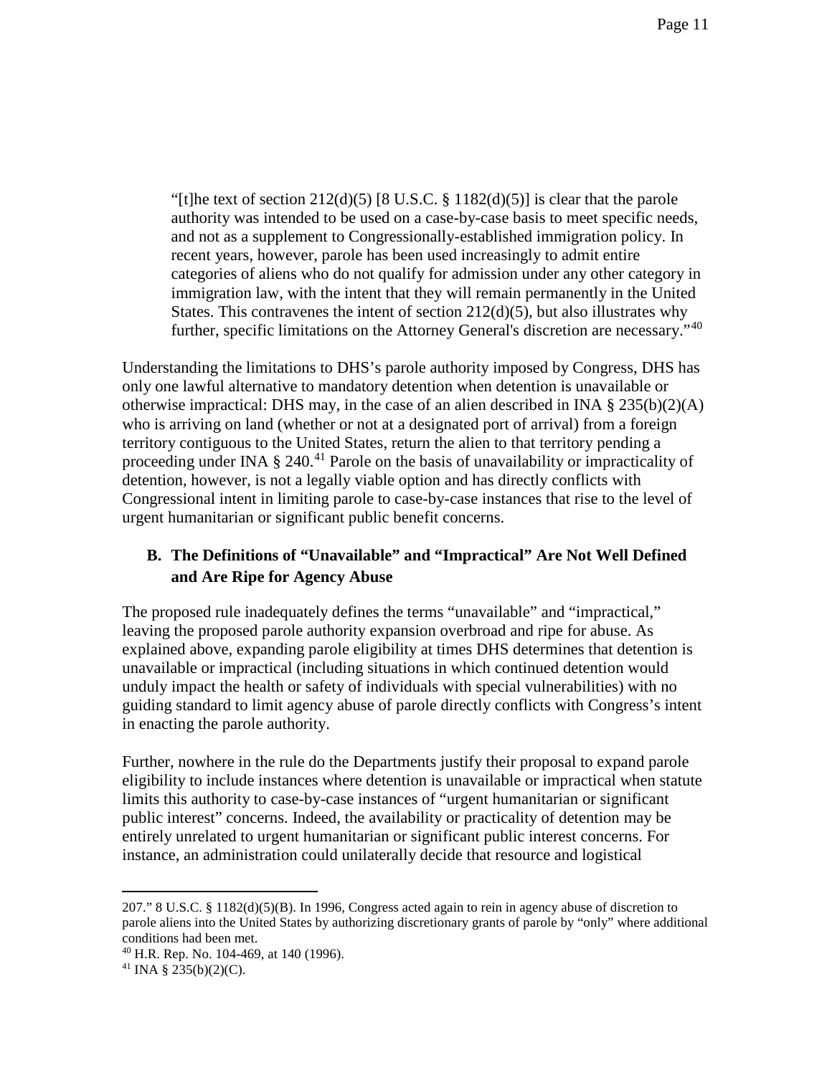"[t]he text of section  $212(d)(5)$  [8 U.S.C. § 1182(d)(5)] is clear that the parole authority was intended to be used on a case-by-case basis to meet specific needs, and not as a supplement to Congressionally-established immigration policy. In recent years, however, parole has been used increasingly to admit entire categories of aliens who do not qualify for admission under any other category in immigration law, with the intent that they will remain permanently in the United States. This contravenes the intent of section  $212(d)(5)$ , but also illustrates why further, specific limitations on the Attorney General's discretion are necessary."<sup>[40](#page-10-0)</sup>

Understanding the limitations to DHS's parole authority imposed by Congress, DHS has only one lawful alternative to mandatory detention when detention is unavailable or otherwise impractical: DHS may, in the case of an alien described in INA  $\S$  235(b)(2)(A) who is arriving on land (whether or not at a designated port of arrival) from a foreign territory contiguous to the United States, return the alien to that territory pending a proceeding under INA  $\S$  240.<sup>[41](#page-10-1)</sup> Parole on the basis of unavailability or impracticality of detention, however, is not a legally viable option and has directly conflicts with Congressional intent in limiting parole to case-by-case instances that rise to the level of urgent humanitarian or significant public benefit concerns.

## **B. The Definitions of "Unavailable" and "Impractical" Are Not Well Defined and Are Ripe for Agency Abuse**

The proposed rule inadequately defines the terms "unavailable" and "impractical," leaving the proposed parole authority expansion overbroad and ripe for abuse. As explained above, expanding parole eligibility at times DHS determines that detention is unavailable or impractical (including situations in which continued detention would unduly impact the health or safety of individuals with special vulnerabilities) with no guiding standard to limit agency abuse of parole directly conflicts with Congress's intent in enacting the parole authority.

Further, nowhere in the rule do the Departments justify their proposal to expand parole eligibility to include instances where detention is unavailable or impractical when statute limits this authority to case-by-case instances of "urgent humanitarian or significant public interest" concerns. Indeed, the availability or practicality of detention may be entirely unrelated to urgent humanitarian or significant public interest concerns. For instance, an administration could unilaterally decide that resource and logistical

 $\overline{a}$ 

<sup>207.&</sup>quot; 8 U.S.C. § 1182(d)(5)(B). In 1996, Congress acted again to rein in agency abuse of discretion to parole aliens into the United States by authorizing discretionary grants of parole by "only" where additional conditions had been met.

<span id="page-10-0"></span><sup>40</sup> H.R. Rep. No. 104-469, at 140 (1996).

<span id="page-10-1"></span><sup>&</sup>lt;sup>41</sup> INA § 235(b)(2)(C).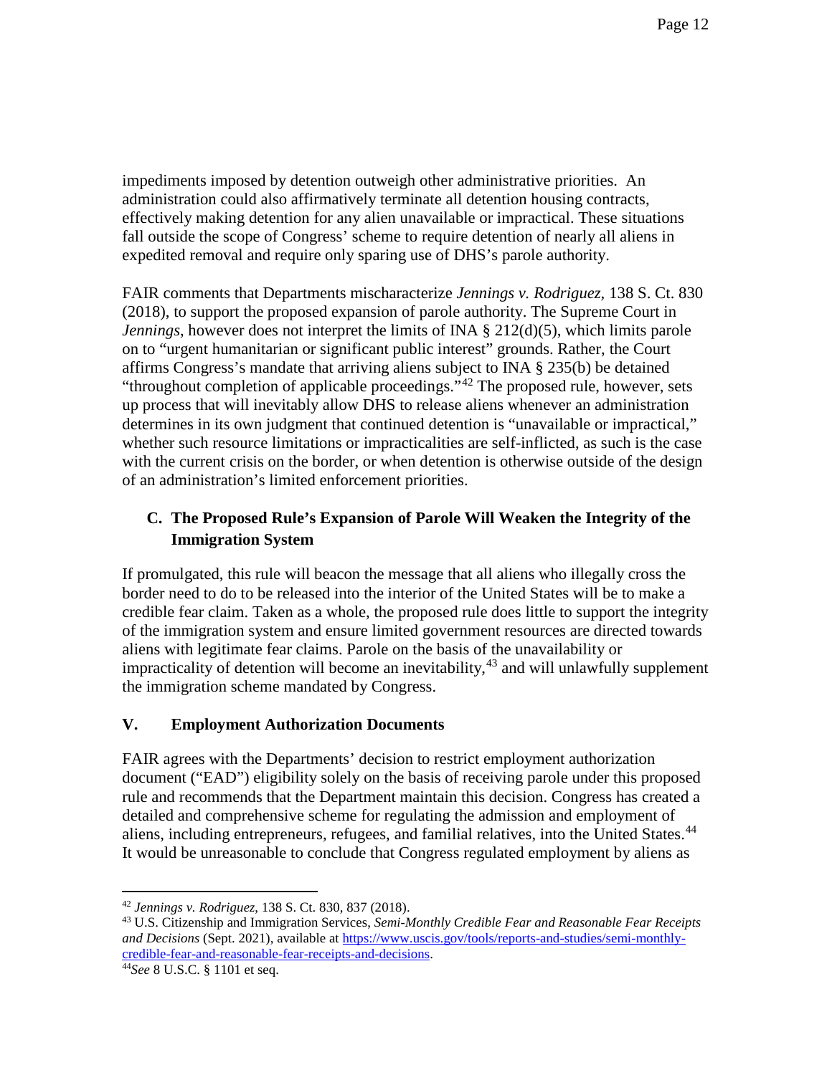impediments imposed by detention outweigh other administrative priorities. An administration could also affirmatively terminate all detention housing contracts, effectively making detention for any alien unavailable or impractical. These situations fall outside the scope of Congress' scheme to require detention of nearly all aliens in expedited removal and require only sparing use of DHS's parole authority.

FAIR comments that Departments mischaracterize *Jennings v. Rodriguez,* 138 S. Ct. 830 (2018), to support the proposed expansion of parole authority. The Supreme Court in *Jennings*, however does not interpret the limits of INA § 212(d)(5), which limits parole on to "urgent humanitarian or significant public interest" grounds. Rather, the Court affirms Congress's mandate that arriving aliens subject to INA § 235(b) be detained "throughout completion of applicable proceedings."<sup>[42](#page-11-0)</sup> The proposed rule, however, sets up process that will inevitably allow DHS to release aliens whenever an administration determines in its own judgment that continued detention is "unavailable or impractical," whether such resource limitations or impracticalities are self-inflicted, as such is the case with the current crisis on the border, or when detention is otherwise outside of the design of an administration's limited enforcement priorities.

# **C. The Proposed Rule's Expansion of Parole Will Weaken the Integrity of the Immigration System**

If promulgated, this rule will beacon the message that all aliens who illegally cross the border need to do to be released into the interior of the United States will be to make a credible fear claim. Taken as a whole, the proposed rule does little to support the integrity of the immigration system and ensure limited government resources are directed towards aliens with legitimate fear claims. Parole on the basis of the unavailability or impracticality of detention will become an inevitability,  $43$  and will unlawfully supplement the immigration scheme mandated by Congress.

## **V. Employment Authorization Documents**

FAIR agrees with the Departments' decision to restrict employment authorization document ("EAD") eligibility solely on the basis of receiving parole under this proposed rule and recommends that the Department maintain this decision. Congress has created a detailed and comprehensive scheme for regulating the admission and employment of aliens, including entrepreneurs, refugees, and familial relatives, into the United States.<sup>[44](#page-11-2)</sup> It would be unreasonable to conclude that Congress regulated employment by aliens as

<span id="page-11-1"></span><span id="page-11-0"></span><sup>42</sup> *Jennings v. Rodriguez*, 138 S. Ct. 830, 837 (2018). 43 U.S. Citizenship and Immigration Services, *Semi-Monthly Credible Fear and Reasonable Fear Receipts and Decisions* (Sept. 2021), available at [https://www.uscis.gov/tools/reports-and-studies/semi-monthly](https://www.uscis.gov/tools/reports-and-studies/semi-monthly-credible-fear-and-reasonable-fear-receipts-and-decisions)[credible-fear-and-reasonable-fear-receipts-and-decisions.](https://www.uscis.gov/tools/reports-and-studies/semi-monthly-credible-fear-and-reasonable-fear-receipts-and-decisions) 44*See* 8 U.S.C. § 1101 et seq.

<span id="page-11-2"></span>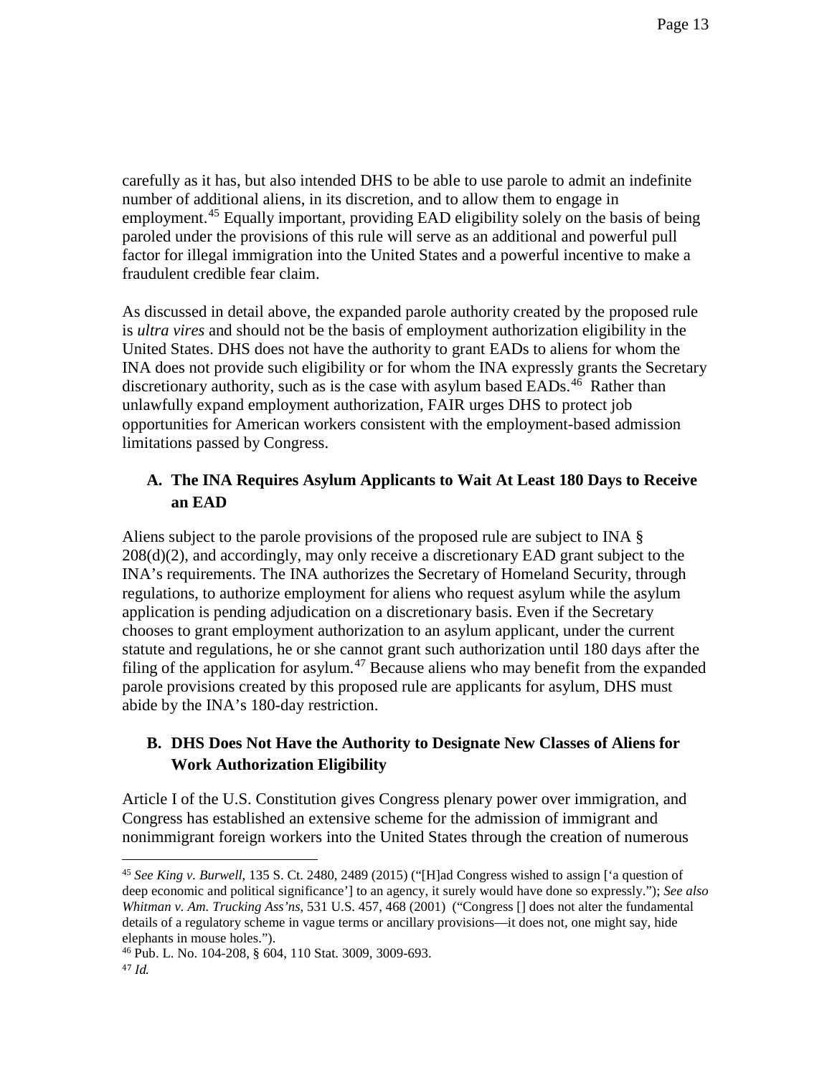carefully as it has, but also intended DHS to be able to use parole to admit an indefinite number of additional aliens, in its discretion, and to allow them to engage in employment.<sup>[45](#page-12-0)</sup> Equally important, providing EAD eligibility solely on the basis of being paroled under the provisions of this rule will serve as an additional and powerful pull factor for illegal immigration into the United States and a powerful incentive to make a fraudulent credible fear claim.

As discussed in detail above, the expanded parole authority created by the proposed rule is *ultra vires* and should not be the basis of employment authorization eligibility in the United States. DHS does not have the authority to grant EADs to aliens for whom the INA does not provide such eligibility or for whom the INA expressly grants the Secretary discretionary authority, such as is the case with asylum based EADs.<sup>46</sup> Rather than unlawfully expand employment authorization, FAIR urges DHS to protect job opportunities for American workers consistent with the employment-based admission limitations passed by Congress.

# **A. The INA Requires Asylum Applicants to Wait At Least 180 Days to Receive an EAD**

Aliens subject to the parole provisions of the proposed rule are subject to INA §  $208(d)(2)$ , and accordingly, may only receive a discretionary EAD grant subject to the INA's requirements. The INA authorizes the Secretary of Homeland Security, through regulations, to authorize employment for aliens who request asylum while the asylum application is pending adjudication on a discretionary basis. Even if the Secretary chooses to grant employment authorization to an asylum applicant, under the current statute and regulations, he or she cannot grant such authorization until 180 days after the filing of the application for asylum.<sup>[47](#page-12-2)</sup> Because aliens who may benefit from the expanded parole provisions created by this proposed rule are applicants for asylum, DHS must abide by the INA's 180-day restriction.

# **B. DHS Does Not Have the Authority to Designate New Classes of Aliens for Work Authorization Eligibility**

Article I of the U.S. Constitution gives Congress plenary power over immigration, and Congress has established an extensive scheme for the admission of immigrant and nonimmigrant foreign workers into the United States through the creation of numerous

<span id="page-12-0"></span> <sup>45</sup> *See King v. Burwell*, 135 S. Ct. 2480, 2489 (2015) ("[H]ad Congress wished to assign ['a question of deep economic and political significance'] to an agency, it surely would have done so expressly."); *See also Whitman v. Am. Trucking Ass'ns*, 531 U.S. 457, 468 (2001) ("Congress [] does not alter the fundamental details of a regulatory scheme in vague terms or ancillary provisions—it does not, one might say, hide elephants in mouse holes.").

<span id="page-12-2"></span><span id="page-12-1"></span><sup>46</sup> Pub. L. No. 104-208, § 604, 110 Stat. 3009, 3009-693.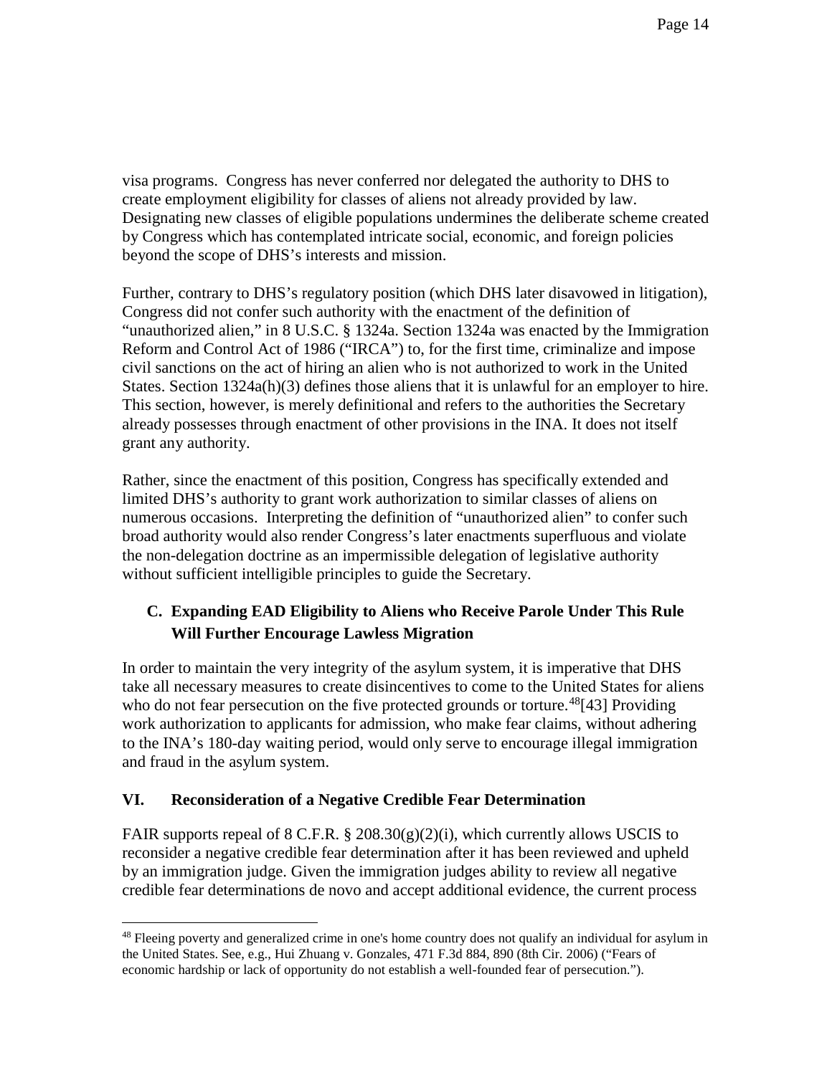visa programs. Congress has never conferred nor delegated the authority to DHS to create employment eligibility for classes of aliens not already provided by law. Designating new classes of eligible populations undermines the deliberate scheme created by Congress which has contemplated intricate social, economic, and foreign policies beyond the scope of DHS's interests and mission.

Further, contrary to DHS's regulatory position (which DHS later disavowed in litigation), Congress did not confer such authority with the enactment of the definition of "unauthorized alien," in 8 U.S.C. § 1324a. Section 1324a was enacted by the Immigration Reform and Control Act of 1986 ("IRCA") to, for the first time, criminalize and impose civil sanctions on the act of hiring an alien who is not authorized to work in the United States. Section 1324a(h)(3) defines those aliens that it is unlawful for an employer to hire. This section, however, is merely definitional and refers to the authorities the Secretary already possesses through enactment of other provisions in the INA. It does not itself grant any authority.

Rather, since the enactment of this position, Congress has specifically extended and limited DHS's authority to grant work authorization to similar classes of aliens on numerous occasions. Interpreting the definition of "unauthorized alien" to confer such broad authority would also render Congress's later enactments superfluous and violate the non-delegation doctrine as an impermissible delegation of legislative authority without sufficient intelligible principles to guide the Secretary.

## **C. Expanding EAD Eligibility to Aliens who Receive Parole Under This Rule Will Further Encourage Lawless Migration**

In order to maintain the very integrity of the asylum system, it is imperative that DHS take all necessary measures to create disincentives to come to the United States for aliens who do not fear persecution on the five protected grounds or torture.<sup>[48](#page-13-0)</sup>[43] Providing work authorization to applicants for admission, who make fear claims, without adhering to the INA's 180-day waiting period, would only serve to encourage illegal immigration and fraud in the asylum system.

#### **VI. Reconsideration of a Negative Credible Fear Determination**

FAIR supports repeal of 8 C.F.R.  $\S 208.30(g)(2)(i)$ , which currently allows USCIS to reconsider a negative credible fear determination after it has been reviewed and upheld by an immigration judge. Given the immigration judges ability to review all negative credible fear determinations de novo and accept additional evidence, the current process

<span id="page-13-0"></span><sup>&</sup>lt;sup>48</sup> Fleeing poverty and generalized crime in one's home country does not qualify an individual for asylum in the United States. See, e.g., Hui Zhuang v. Gonzales, 471 F.3d 884, 890 (8th Cir. 2006) ("Fears of economic hardship or lack of opportunity do not establish a well-founded fear of persecution.").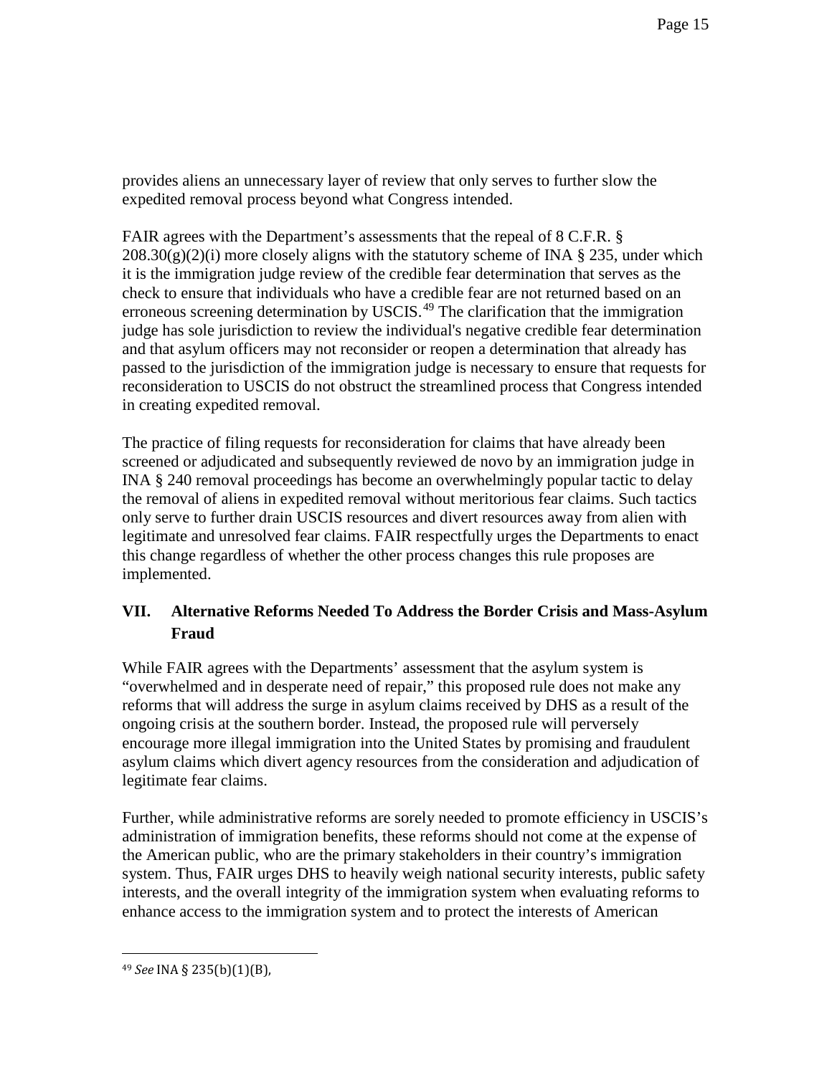provides aliens an unnecessary layer of review that only serves to further slow the expedited removal process beyond what Congress intended.

FAIR agrees with the Department's assessments that the repeal of 8 C.F.R. §  $208.30(g)(2)(i)$  more closely aligns with the statutory scheme of INA § 235, under which it is the immigration judge review of the credible fear determination that serves as the check to ensure that individuals who have a credible fear are not returned based on an erroneous screening determination by USCIS.<sup>[49](#page-14-0)</sup> The clarification that the immigration judge has sole jurisdiction to review the individual's negative credible fear determination and that asylum officers may not reconsider or reopen a determination that already has passed to the jurisdiction of the immigration judge is necessary to ensure that requests for reconsideration to USCIS do not obstruct the streamlined process that Congress intended in creating expedited removal.

The practice of filing requests for reconsideration for claims that have already been screened or adjudicated and subsequently reviewed de novo by an immigration judge in INA § 240 removal proceedings has become an overwhelmingly popular tactic to delay the removal of aliens in expedited removal without meritorious fear claims. Such tactics only serve to further drain USCIS resources and divert resources away from alien with legitimate and unresolved fear claims. FAIR respectfully urges the Departments to enact this change regardless of whether the other process changes this rule proposes are implemented.

## **VII. Alternative Reforms Needed To Address the Border Crisis and Mass-Asylum Fraud**

While FAIR agrees with the Departments' assessment that the asylum system is "overwhelmed and in desperate need of repair," this proposed rule does not make any reforms that will address the surge in asylum claims received by DHS as a result of the ongoing crisis at the southern border. Instead, the proposed rule will perversely encourage more illegal immigration into the United States by promising and fraudulent asylum claims which divert agency resources from the consideration and adjudication of legitimate fear claims.

Further, while administrative reforms are sorely needed to promote efficiency in USCIS's administration of immigration benefits, these reforms should not come at the expense of the American public, who are the primary stakeholders in their country's immigration system. Thus, FAIR urges DHS to heavily weigh national security interests, public safety interests, and the overall integrity of the immigration system when evaluating reforms to enhance access to the immigration system and to protect the interests of American

 $\overline{a}$ 

<span id="page-14-0"></span><sup>49</sup> *See* INA § 235(b)(1)(B),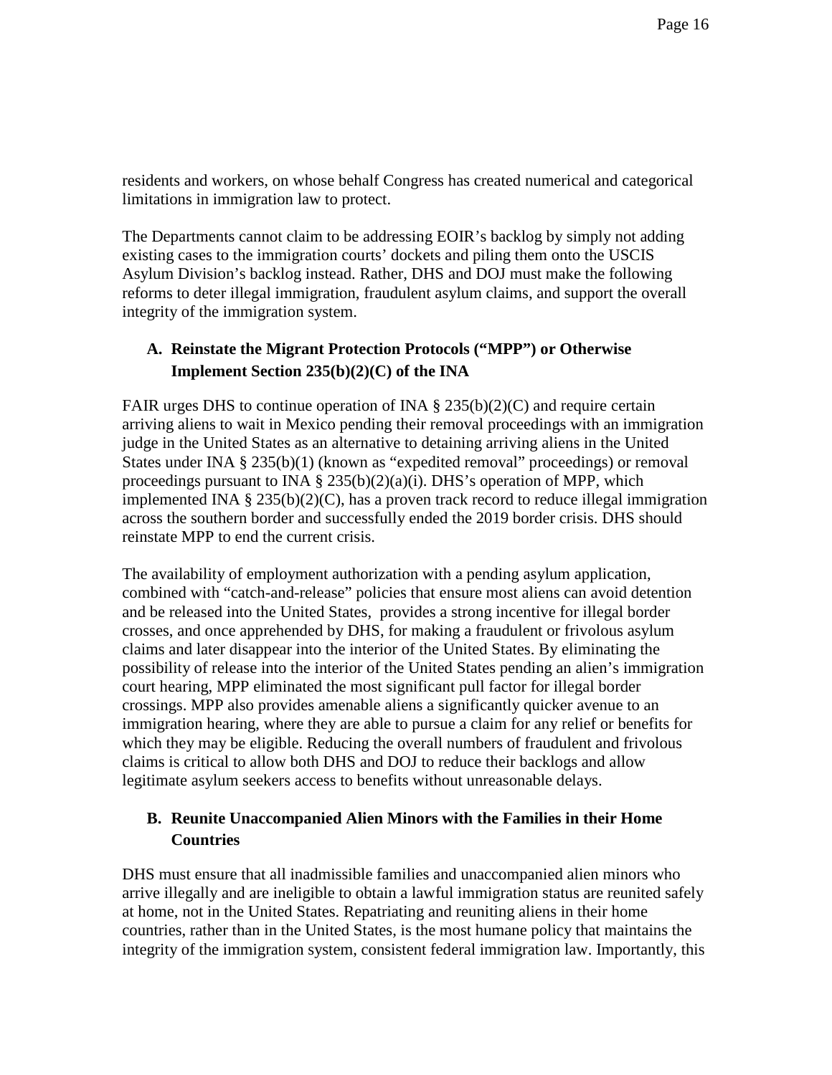residents and workers, on whose behalf Congress has created numerical and categorical limitations in immigration law to protect.

The Departments cannot claim to be addressing EOIR's backlog by simply not adding existing cases to the immigration courts' dockets and piling them onto the USCIS Asylum Division's backlog instead. Rather, DHS and DOJ must make the following reforms to deter illegal immigration, fraudulent asylum claims, and support the overall integrity of the immigration system.

### **A. Reinstate the Migrant Protection Protocols ("MPP") or Otherwise Implement Section 235(b)(2)(C) of the INA**

FAIR urges DHS to continue operation of INA  $\S 235(b)(2)(C)$  and require certain arriving aliens to wait in Mexico pending their removal proceedings with an immigration judge in the United States as an alternative to detaining arriving aliens in the United States under INA § 235(b)(1) (known as "expedited removal" proceedings) or removal proceedings pursuant to INA  $\S$  235(b)(2)(a)(i). DHS's operation of MPP, which implemented INA  $\S 235(b)(2)(C)$ , has a proven track record to reduce illegal immigration across the southern border and successfully ended the 2019 border crisis. DHS should reinstate MPP to end the current crisis.

The availability of employment authorization with a pending asylum application, combined with "catch-and-release" policies that ensure most aliens can avoid detention and be released into the United States, provides a strong incentive for illegal border crosses, and once apprehended by DHS, for making a fraudulent or frivolous asylum claims and later disappear into the interior of the United States. By eliminating the possibility of release into the interior of the United States pending an alien's immigration court hearing, MPP eliminated the most significant pull factor for illegal border crossings. MPP also provides amenable aliens a significantly quicker avenue to an immigration hearing, where they are able to pursue a claim for any relief or benefits for which they may be eligible. Reducing the overall numbers of fraudulent and frivolous claims is critical to allow both DHS and DOJ to reduce their backlogs and allow legitimate asylum seekers access to benefits without unreasonable delays.

## **B. Reunite Unaccompanied Alien Minors with the Families in their Home Countries**

DHS must ensure that all inadmissible families and unaccompanied alien minors who arrive illegally and are ineligible to obtain a lawful immigration status are reunited safely at home, not in the United States. Repatriating and reuniting aliens in their home countries, rather than in the United States, is the most humane policy that maintains the integrity of the immigration system, consistent federal immigration law. Importantly, this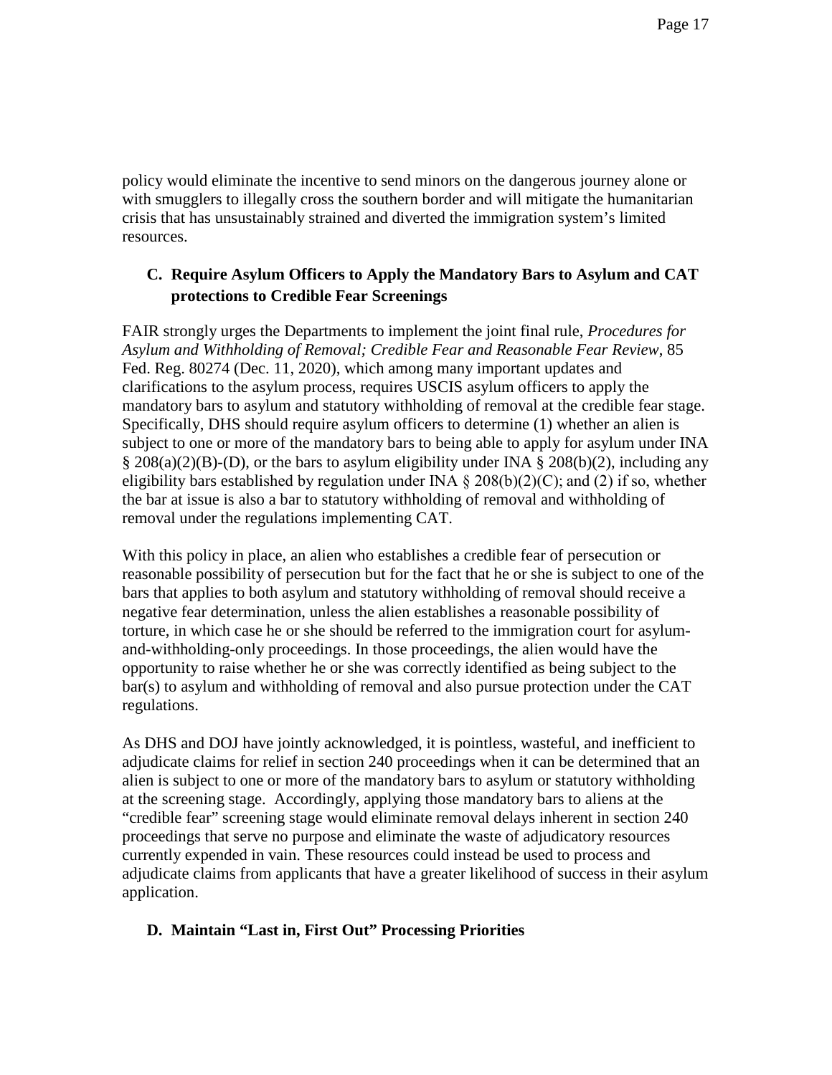policy would eliminate the incentive to send minors on the dangerous journey alone or with smugglers to illegally cross the southern border and will mitigate the humanitarian crisis that has unsustainably strained and diverted the immigration system's limited resources.

### **C. Require Asylum Officers to Apply the Mandatory Bars to Asylum and CAT protections to Credible Fear Screenings**

FAIR strongly urges the Departments to implement the joint final rule, *Procedures for Asylum and Withholding of Removal; Credible Fear and Reasonable Fear Review*, 85 Fed. Reg. 80274 (Dec. 11, 2020), which among many important updates and clarifications to the asylum process, requires USCIS asylum officers to apply the mandatory bars to asylum and statutory withholding of removal at the credible fear stage. Specifically, DHS should require asylum officers to determine (1) whether an alien is subject to one or more of the mandatory bars to being able to apply for asylum under INA § 208(a)(2)(B)-(D), or the bars to asylum eligibility under INA § 208(b)(2), including any eligibility bars established by regulation under INA  $\S 208(b)(2)(C)$ ; and (2) if so, whether the bar at issue is also a bar to statutory withholding of removal and withholding of removal under the regulations implementing CAT.

With this policy in place, an alien who establishes a credible fear of persecution or reasonable possibility of persecution but for the fact that he or she is subject to one of the bars that applies to both asylum and statutory withholding of removal should receive a negative fear determination, unless the alien establishes a reasonable possibility of torture, in which case he or she should be referred to the immigration court for asylumand-withholding-only proceedings. In those proceedings, the alien would have the opportunity to raise whether he or she was correctly identified as being subject to the bar(s) to asylum and withholding of removal and also pursue protection under the CAT regulations.

As DHS and DOJ have jointly acknowledged, it is pointless, wasteful, and inefficient to adjudicate claims for relief in section 240 proceedings when it can be determined that an alien is subject to one or more of the mandatory bars to asylum or statutory withholding at the screening stage. Accordingly, applying those mandatory bars to aliens at the "credible fear" screening stage would eliminate removal delays inherent in section 240 proceedings that serve no purpose and eliminate the waste of adjudicatory resources currently expended in vain. These resources could instead be used to process and adjudicate claims from applicants that have a greater likelihood of success in their asylum application.

#### **D. Maintain "Last in, First Out" Processing Priorities**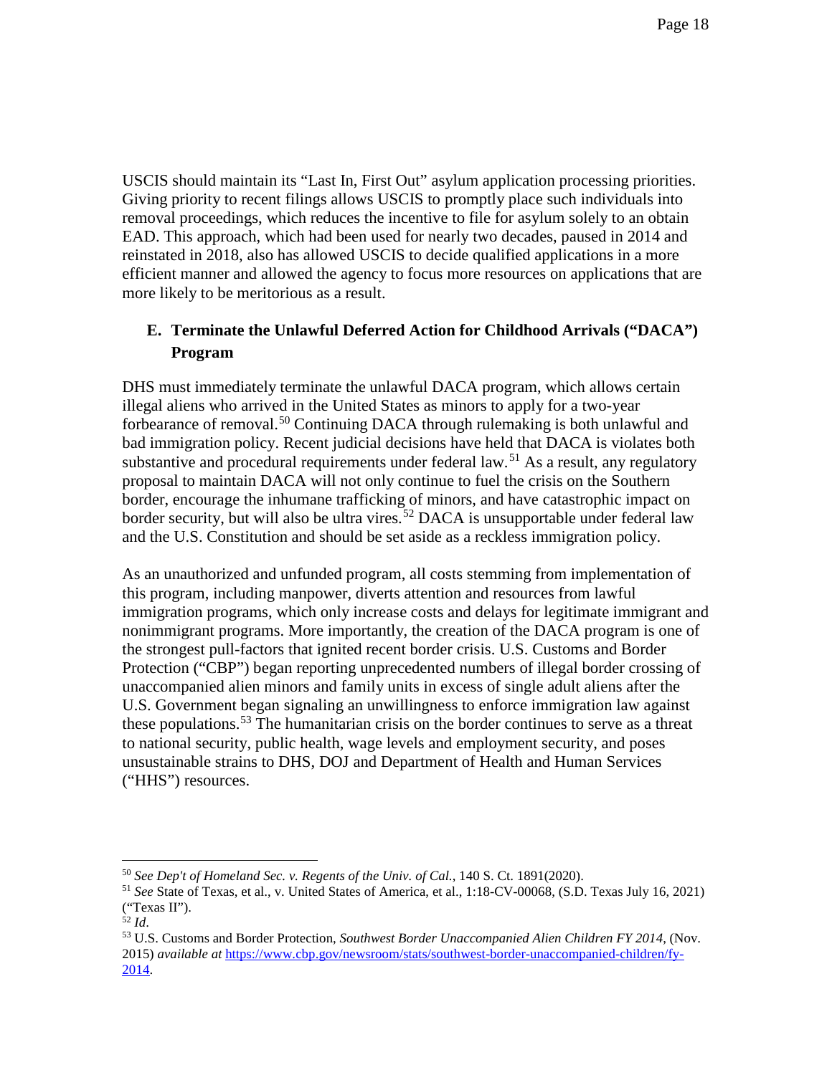USCIS should maintain its "Last In, First Out" asylum application processing priorities. Giving priority to recent filings allows USCIS to promptly place such individuals into removal proceedings, which reduces the incentive to file for asylum solely to an obtain EAD. This approach, which had been used for nearly two decades, paused in 2014 and reinstated in 2018, also has allowed USCIS to decide qualified applications in a more efficient manner and allowed the agency to focus more resources on applications that are more likely to be meritorious as a result.

#### **E. Terminate the Unlawful Deferred Action for Childhood Arrivals ("DACA") Program**

DHS must immediately terminate the unlawful DACA program, which allows certain illegal aliens who arrived in the United States as minors to apply for a two-year forbearance of removal.[50](#page-17-0) Continuing DACA through rulemaking is both unlawful and bad immigration policy. Recent judicial decisions have held that DACA is violates both substantive and procedural requirements under federal law.<sup>[51](#page-17-1)</sup> As a result, any regulatory proposal to maintain DACA will not only continue to fuel the crisis on the Southern border, encourage the inhumane trafficking of minors, and have catastrophic impact on border security, but will also be ultra vires.<sup>[52](#page-17-2)</sup> DACA is unsupportable under federal law and the U.S. Constitution and should be set aside as a reckless immigration policy.

As an unauthorized and unfunded program, all costs stemming from implementation of this program, including manpower, diverts attention and resources from lawful immigration programs, which only increase costs and delays for legitimate immigrant and nonimmigrant programs. More importantly, the creation of the DACA program is one of the strongest pull-factors that ignited recent border crisis. U.S. Customs and Border Protection ("CBP") began reporting unprecedented numbers of illegal border crossing of unaccompanied alien minors and family units in excess of single adult aliens after the U.S. Government began signaling an unwillingness to enforce immigration law against these populations.<sup>[53](#page-17-3)</sup> The humanitarian crisis on the border continues to serve as a threat to national security, public health, wage levels and employment security, and poses unsustainable strains to DHS, DOJ and Department of Health and Human Services ("HHS") resources.

<span id="page-17-0"></span><sup>50</sup> *See Dep't of Homeland Sec. v. Regents of the Univ. of Cal.*, 140 S. Ct. 1891(2020). 51 *See* State of Texas, et al., v. United States of America, et al., 1:18-CV-00068, (S.D. Texas July 16, 2021)

<span id="page-17-1"></span><sup>(&</sup>quot;Texas II").

<span id="page-17-2"></span><sup>52</sup> *Id*.

<span id="page-17-3"></span><sup>53</sup> U.S. Customs and Border Protection, *Southwest Border Unaccompanied Alien Children FY 2014*, (Nov. 2015) *available at* [https://www.cbp.gov/newsroom/stats/southwest-border-unaccompanied-children/fy-](https://www.cbp.gov/newsroom/stats/southwest-border-unaccompanied-children/fy-2014)[2014.](https://www.cbp.gov/newsroom/stats/southwest-border-unaccompanied-children/fy-2014)